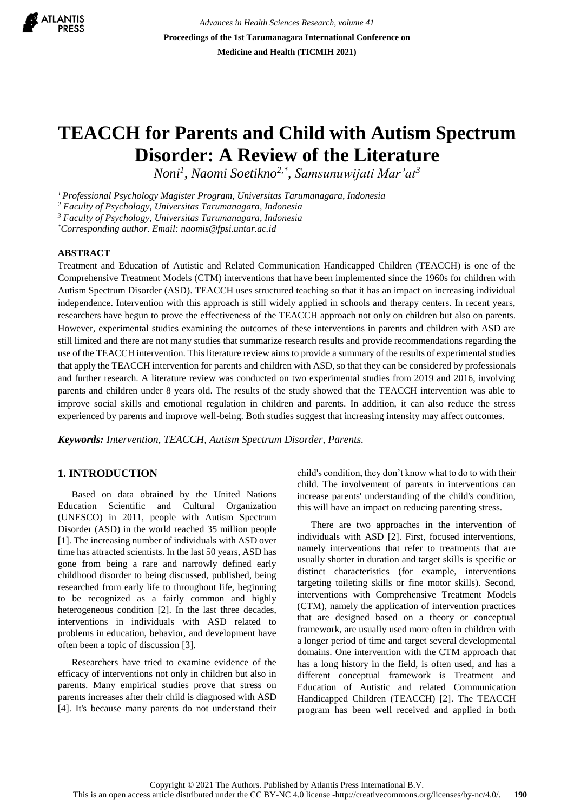

*Advances in Health Sciences Research, volume 41* **Proceedings of the 1st Tarumanagara International Conference on Medicine and Health (TICMIH 2021)**

# **TEACCH for Parents and Child with Autism Spectrum Disorder: A Review of the Literature**

*Noni<sup>1</sup> , Naomi Soetikno2,\* , Samsunuwijati Mar'at<sup>3</sup>*

*<sup>1</sup>Professional Psychology Magister Program, Universitas Tarumanagara, Indonesia* 

*<sup>2</sup> Faculty of Psychology, Universitas Tarumanagara, Indonesia*

*<sup>3</sup> Faculty of Psychology, Universitas Tarumanagara, Indonesia*

*\*Corresponding author. Email: naomis@fpsi.untar.ac.id*

#### **ABSTRACT**

Treatment and Education of Autistic and Related Communication Handicapped Children (TEACCH) is one of the Comprehensive Treatment Models (CTM) interventions that have been implemented since the 1960s for children with Autism Spectrum Disorder (ASD). TEACCH uses structured teaching so that it has an impact on increasing individual independence. Intervention with this approach is still widely applied in schools and therapy centers. In recent years, researchers have begun to prove the effectiveness of the TEACCH approach not only on children but also on parents. However, experimental studies examining the outcomes of these interventions in parents and children with ASD are still limited and there are not many studies that summarize research results and provide recommendations regarding the use of the TEACCH intervention. This literature review aims to provide a summary of the results of experimental studies that apply the TEACCH intervention for parents and children with ASD, so that they can be considered by professionals and further research. A literature review was conducted on two experimental studies from 2019 and 2016, involving parents and children under 8 years old. The results of the study showed that the TEACCH intervention was able to improve social skills and emotional regulation in children and parents. In addition, it can also reduce the stress experienced by parents and improve well-being. Both studies suggest that increasing intensity may affect outcomes.

*Keywords: Intervention, TEACCH, Autism Spectrum Disorder, Parents.*

## **1. INTRODUCTION**

Based on data obtained by the United Nations Education Scientific and Cultural Organization (UNESCO) in 2011, people with Autism Spectrum Disorder (ASD) in the world reached 35 million people [1]. The increasing number of individuals with ASD over time has attracted scientists. In the last 50 years, ASD has gone from being a rare and narrowly defined early childhood disorder to being discussed, published, being researched from early life to throughout life, beginning to be recognized as a fairly common and highly heterogeneous condition [2]. In the last three decades, interventions in individuals with ASD related to problems in education, behavior, and development have often been a topic of discussion [3].

Researchers have tried to examine evidence of the efficacy of interventions not only in children but also in parents. Many empirical studies prove that stress on parents increases after their child is diagnosed with ASD [4]. It's because many parents do not understand their child's condition, they don't know what to do to with their child. The involvement of parents in interventions can increase parents' understanding of the child's condition, this will have an impact on reducing parenting stress.

There are two approaches in the intervention of individuals with ASD [2]. First, focused interventions, namely interventions that refer to treatments that are usually shorter in duration and target skills is specific or distinct characteristics (for example, interventions targeting toileting skills or fine motor skills). Second, interventions with Comprehensive Treatment Models (CTM), namely the application of intervention practices that are designed based on a theory or conceptual framework, are usually used more often in children with a longer period of time and target several developmental domains. One intervention with the CTM approach that has a long history in the field, is often used, and has a different conceptual framework is Treatment and Education of Autistic and related Communication Handicapped Children (TEACCH) [2]. The TEACCH program has been well received and applied in both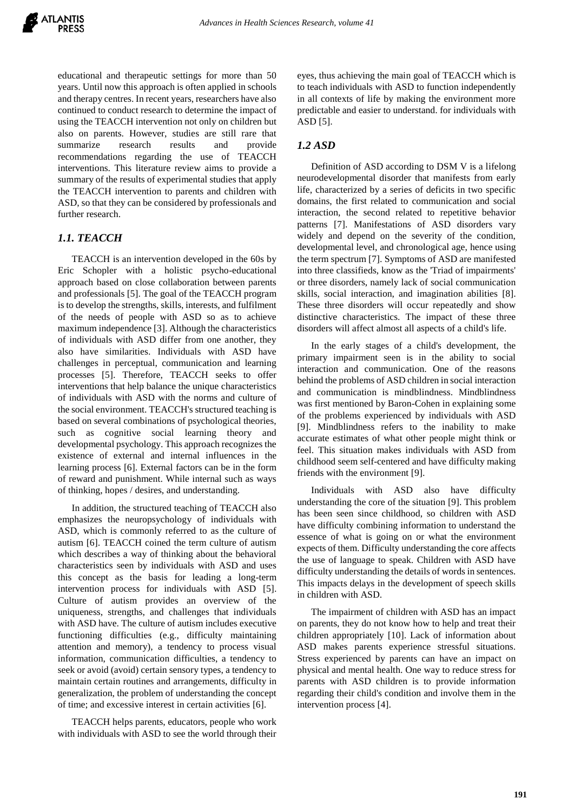educational and therapeutic settings for more than 50 years. Until now this approach is often applied in schools and therapy centres. In recent years, researchers have also continued to conduct research to determine the impact of using the TEACCH intervention not only on children but also on parents. However, studies are still rare that summarize research results and provide recommendations regarding the use of TEACCH interventions. This literature review aims to provide a summary of the results of experimental studies that apply the TEACCH intervention to parents and children with ASD, so that they can be considered by professionals and further research.

# *1.1. TEACCH*

TEACCH is an intervention developed in the 60s by Eric Schopler with a holistic psycho-educational approach based on close collaboration between parents and professionals [5]. The goal of the TEACCH program is to develop the strengths, skills, interests, and fulfilment of the needs of people with ASD so as to achieve maximum independence [3]. Although the characteristics of individuals with ASD differ from one another, they also have similarities. Individuals with ASD have challenges in perceptual, communication and learning processes [5]. Therefore, TEACCH seeks to offer interventions that help balance the unique characteristics of individuals with ASD with the norms and culture of the social environment. TEACCH's structured teaching is based on several combinations of psychological theories, such as cognitive social learning theory and developmental psychology. This approach recognizes the existence of external and internal influences in the learning process [6]. External factors can be in the form of reward and punishment. While internal such as ways of thinking, hopes / desires, and understanding.

In addition, the structured teaching of TEACCH also emphasizes the neuropsychology of individuals with ASD, which is commonly referred to as the culture of autism [6]. TEACCH coined the term culture of autism which describes a way of thinking about the behavioral characteristics seen by individuals with ASD and uses this concept as the basis for leading a long-term intervention process for individuals with ASD [5]. Culture of autism provides an overview of the uniqueness, strengths, and challenges that individuals with ASD have. The culture of autism includes executive functioning difficulties (e.g., difficulty maintaining attention and memory), a tendency to process visual information, communication difficulties, a tendency to seek or avoid (avoid) certain sensory types, a tendency to maintain certain routines and arrangements, difficulty in generalization, the problem of understanding the concept of time; and excessive interest in certain activities [6].

TEACCH helps parents, educators, people who work with individuals with ASD to see the world through their eyes, thus achieving the main goal of TEACCH which is to teach individuals with ASD to function independently in all contexts of life by making the environment more predictable and easier to understand. for individuals with ASD [5].

## *1.2 ASD*

Definition of ASD according to DSM V is a lifelong neurodevelopmental disorder that manifests from early life, characterized by a series of deficits in two specific domains, the first related to communication and social interaction, the second related to repetitive behavior patterns [7]. Manifestations of ASD disorders vary widely and depend on the severity of the condition, developmental level, and chronological age, hence using the term spectrum [7]. Symptoms of ASD are manifested into three classifieds, know as the 'Triad of impairments' or three disorders, namely lack of social communication skills, social interaction, and imagination abilities [8]. These three disorders will occur repeatedly and show distinctive characteristics. The impact of these three disorders will affect almost all aspects of a child's life.

In the early stages of a child's development, the primary impairment seen is in the ability to social interaction and communication. One of the reasons behind the problems of ASD children in social interaction and communication is mindblindness. Mindblindness was first mentioned by Baron-Cohen in explaining some of the problems experienced by individuals with ASD [9]. Mindblindness refers to the inability to make accurate estimates of what other people might think or feel. This situation makes individuals with ASD from childhood seem self-centered and have difficulty making friends with the environment [9].

Individuals with ASD also have difficulty understanding the core of the situation [9]. This problem has been seen since childhood, so children with ASD have difficulty combining information to understand the essence of what is going on or what the environment expects of them. Difficulty understanding the core affects the use of language to speak. Children with ASD have difficulty understanding the details of words in sentences. This impacts delays in the development of speech skills in children with ASD.

The impairment of children with ASD has an impact on parents, they do not know how to help and treat their children appropriately [10]. Lack of information about ASD makes parents experience stressful situations. Stress experienced by parents can have an impact on physical and mental health. One way to reduce stress for parents with ASD children is to provide information regarding their child's condition and involve them in the intervention process [4].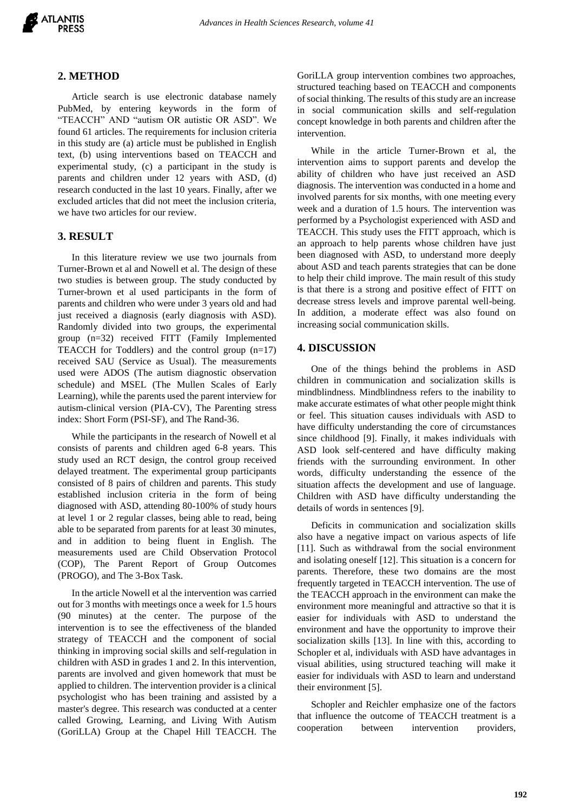

#### **2. METHOD**

Article search is use electronic database namely PubMed, by entering keywords in the form of "TEACCH" AND "autism OR autistic OR ASD". We found 61 articles. The requirements for inclusion criteria in this study are (a) article must be published in English text, (b) using interventions based on TEACCH and experimental study, (c) a participant in the study is parents and children under 12 years with ASD, (d) research conducted in the last 10 years. Finally, after we excluded articles that did not meet the inclusion criteria, we have two articles for our review.

## **3. RESULT**

In this literature review we use two journals from Turner-Brown et al and Nowell et al. The design of these two studies is between group. The study conducted by Turner-brown et al used participants in the form of parents and children who were under 3 years old and had just received a diagnosis (early diagnosis with ASD). Randomly divided into two groups, the experimental group (n=32) received FITT (Family Implemented TEACCH for Toddlers) and the control group (n=17) received SAU (Service as Usual). The measurements used were ADOS (The autism diagnostic observation schedule) and MSEL (The Mullen Scales of Early Learning), while the parents used the parent interview for autism-clinical version (PIA-CV), The Parenting stress index: Short Form (PSI-SF), and The Rand-36.

While the participants in the research of Nowell et al consists of parents and children aged 6-8 years. This study used an RCT design, the control group received delayed treatment. The experimental group participants consisted of 8 pairs of children and parents. This study established inclusion criteria in the form of being diagnosed with ASD, attending 80-100% of study hours at level 1 or 2 regular classes, being able to read, being able to be separated from parents for at least 30 minutes, and in addition to being fluent in English. The measurements used are Child Observation Protocol (COP), The Parent Report of Group Outcomes (PROGO), and The 3-Box Task.

In the article Nowell et al the intervention was carried out for 3 months with meetings once a week for 1.5 hours (90 minutes) at the center. The purpose of the intervention is to see the effectiveness of the blanded strategy of TEACCH and the component of social thinking in improving social skills and self-regulation in children with ASD in grades 1 and 2. In this intervention, parents are involved and given homework that must be applied to children. The intervention provider is a clinical psychologist who has been training and assisted by a master's degree. This research was conducted at a center called Growing, Learning, and Living With Autism (GoriLLA) Group at the Chapel Hill TEACCH. The GoriLLA group intervention combines two approaches, structured teaching based on TEACCH and components of social thinking. The results of this study are an increase in social communication skills and self-regulation concept knowledge in both parents and children after the intervention.

While in the article Turner-Brown et al, the intervention aims to support parents and develop the ability of children who have just received an ASD diagnosis. The intervention was conducted in a home and involved parents for six months, with one meeting every week and a duration of 1.5 hours. The intervention was performed by a Psychologist experienced with ASD and TEACCH. This study uses the FITT approach, which is an approach to help parents whose children have just been diagnosed with ASD, to understand more deeply about ASD and teach parents strategies that can be done to help their child improve. The main result of this study is that there is a strong and positive effect of FITT on decrease stress levels and improve parental well-being. In addition, a moderate effect was also found on increasing social communication skills.

#### **4. DISCUSSION**

One of the things behind the problems in ASD children in communication and socialization skills is mindblindness. Mindblindness refers to the inability to make accurate estimates of what other people might think or feel. This situation causes individuals with ASD to have difficulty understanding the core of circumstances since childhood [9]. Finally, it makes individuals with ASD look self-centered and have difficulty making friends with the surrounding environment. In other words, difficulty understanding the essence of the situation affects the development and use of language. Children with ASD have difficulty understanding the details of words in sentences [9].

Deficits in communication and socialization skills also have a negative impact on various aspects of life [11]. Such as withdrawal from the social environment and isolating oneself [12]. This situation is a concern for parents. Therefore, these two domains are the most frequently targeted in TEACCH intervention. The use of the TEACCH approach in the environment can make the environment more meaningful and attractive so that it is easier for individuals with ASD to understand the environment and have the opportunity to improve their socialization skills [13]. In line with this, according to Schopler et al, individuals with ASD have advantages in visual abilities, using structured teaching will make it easier for individuals with ASD to learn and understand their environment [5].

Schopler and Reichler emphasize one of the factors that influence the outcome of TEACCH treatment is a cooperation between intervention providers,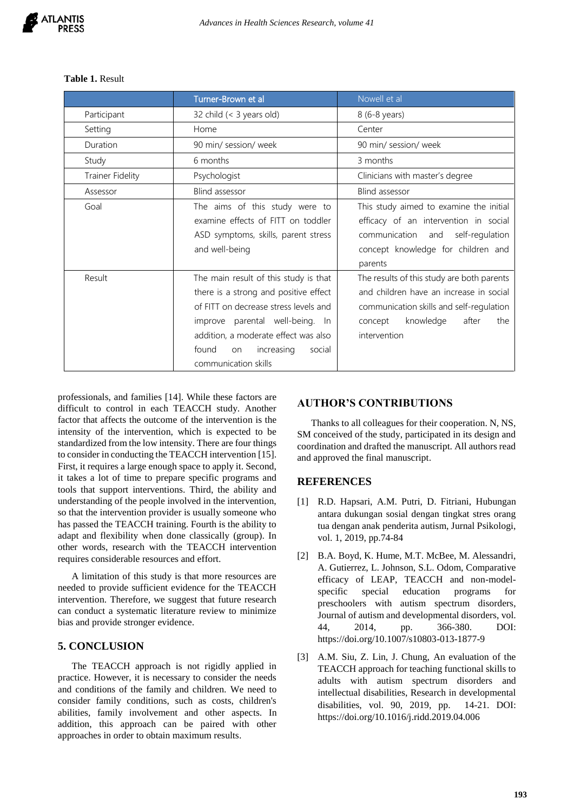|                         | Turner-Brown et al                    | Nowell et al                               |
|-------------------------|---------------------------------------|--------------------------------------------|
| Participant             | 32 child (< 3 years old)              | 8 (6-8 years)                              |
| Setting                 | Home                                  | Center                                     |
| Duration                | 90 min/ session/ week                 | 90 min/ session/ week                      |
| Study                   | 6 months                              | 3 months                                   |
| <b>Trainer Fidelity</b> | Psychologist                          | Clinicians with master's degree            |
| Assessor                | Blind assessor                        | Blind assessor                             |
| Goal                    | The aims of this study were to        | This study aimed to examine the initial    |
|                         | examine effects of FITT on toddler    | efficacy of an intervention in social      |
|                         | ASD symptoms, skills, parent stress   | communication<br>self-regulation<br>and    |
|                         | and well-being                        | concept knowledge for children and         |
|                         |                                       | parents                                    |
| Result                  | The main result of this study is that | The results of this study are both parents |
|                         | there is a strong and positive effect | and children have an increase in social    |
|                         | of FITT on decrease stress levels and | communication skills and self-regulation   |
|                         | improve parental well-being. In       | knowledge<br>after<br>concept<br>the       |
|                         | addition, a moderate effect was also  | intervention                               |
|                         | found<br>increasing<br>social<br>on   |                                            |
|                         | communication skills                  |                                            |

#### **Table 1.** Result

professionals, and families [14]. While these factors are difficult to control in each TEACCH study. Another factor that affects the outcome of the intervention is the intensity of the intervention, which is expected to be standardized from the low intensity. There are four things to consider in conducting the TEACCH intervention [15]. First, it requires a large enough space to apply it. Second, it takes a lot of time to prepare specific programs and tools that support interventions. Third, the ability and understanding of the people involved in the intervention, so that the intervention provider is usually someone who has passed the TEACCH training. Fourth is the ability to adapt and flexibility when done classically (group). In other words, research with the TEACCH intervention requires considerable resources and effort.

A limitation of this study is that more resources are needed to provide sufficient evidence for the TEACCH intervention. Therefore, we suggest that future research can conduct a systematic literature review to minimize bias and provide stronger evidence.

## **5. CONCLUSION**

The TEACCH approach is not rigidly applied in practice. However, it is necessary to consider the needs and conditions of the family and children. We need to consider family conditions, such as costs, children's abilities, family involvement and other aspects. In addition, this approach can be paired with other approaches in order to obtain maximum results.

### **AUTHOR'S CONTRIBUTIONS**

Thanks to all colleagues for their cooperation. N, NS, SM conceived of the study, participated in its design and coordination and drafted the manuscript. All authors read and approved the final manuscript.

#### **REFERENCES**

- [1] R.D. Hapsari, A.M. Putri, D. Fitriani, Hubungan antara dukungan sosial dengan tingkat stres orang tua dengan anak penderita autism, Jurnal Psikologi, vol. 1, 2019, pp.74-84
- [2] B.A. Boyd, K. Hume, M.T. McBee, M. Alessandri, A. Gutierrez, L. Johnson, S.L. Odom, Comparative efficacy of LEAP, TEACCH and non-modelspecific special education programs for preschoolers with autism spectrum disorders, Journal of autism and developmental disorders, vol. 44, 2014, pp. 366-380. DOI: https://doi.org/10.1007/s10803-013-1877-9
- [3] A.M. Siu, Z. Lin, J. Chung, An evaluation of the TEACCH approach for teaching functional skills to adults with autism spectrum disorders and intellectual disabilities, Research in developmental disabilities, vol. 90, 2019, pp. 14-21. DOI: https://doi.org/10.1016/j.ridd.2019.04.006